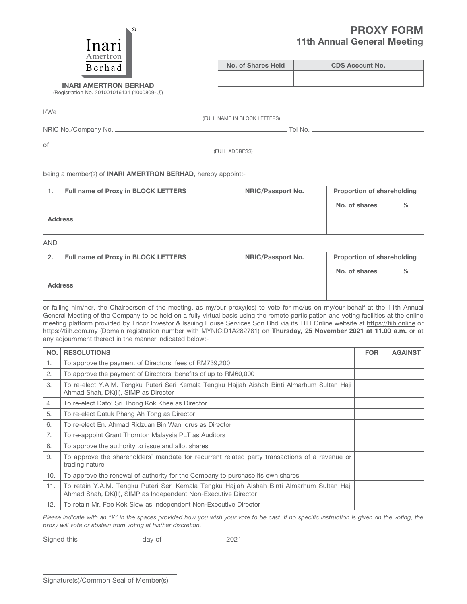## PROXY FORM 11th Annual General Meeting



No. of Shares Held CDS Account No.

INARI AMERTROn BERHAD (Registration No. 201001016131 (1000809-U))

I/We

(FULL NAME IN BLOCK LETTERS)

NRIC No./Company No. Tel No.

 $of$ —

(FULL ADDRESS)

being a member(s) of **INARI AMERTRON BERHAD**, hereby appoint:-

| Full name of Proxy in BLOCK LETTERS | <b>NRIC/Passport No.</b> | <b>Proportion of shareholding</b> |   |
|-------------------------------------|--------------------------|-----------------------------------|---|
|                                     |                          | No. of shares                     | % |
| <b>Address</b>                      |                          |                                   |   |

AND

| <b>Full name of Proxy in BLOCK LETTERS</b><br>-2. | <b>NRIC/Passport No.</b> | <b>Proportion of shareholding</b> |               |
|---------------------------------------------------|--------------------------|-----------------------------------|---------------|
|                                                   |                          | No. of shares                     | $\frac{0}{0}$ |
| <b>Address</b>                                    |                          |                                   |               |

or failing him/her, the Chairperson of the meeting, as my/our proxy(ies) to vote for me/us on my/our behalf at the 11th Annual General Meeting of the Company to be held on a fully virtual basis using the remote participation and voting facilities at the online meeting platform provided by Tricor Investor & Issuing House Services Sdn Bhd via its TIIH Online website at https://tiih.online or https://tiih.com.my (Domain registration number with MYNIC:D1A282781) on Thursday, 25 November 2021 at 11.00 a.m. or at any adjournment thereof in the manner indicated below:-

| NO. | <b>RESOLUTIONS</b>                                                                                                                                           | <b>FOR</b> | <b>AGAINST</b> |
|-----|--------------------------------------------------------------------------------------------------------------------------------------------------------------|------------|----------------|
| 1.  | To approve the payment of Directors' fees of RM739,200                                                                                                       |            |                |
| 2.  | To approve the payment of Directors' benefits of up to RM60,000                                                                                              |            |                |
| 3.  | To re-elect Y.A.M. Tengku Puteri Seri Kemala Tengku Hajjah Aishah Binti Almarhum Sultan Haji<br>Ahmad Shah, DK(II), SIMP as Director                         |            |                |
| 4.  | To re-elect Dato' Sri Thong Kok Khee as Director                                                                                                             |            |                |
| 5.  | To re-elect Datuk Phang Ah Tong as Director                                                                                                                  |            |                |
| 6.  | To re-elect En. Ahmad Ridzuan Bin Wan Idrus as Director                                                                                                      |            |                |
| 7.  | To re-appoint Grant Thornton Malaysia PLT as Auditors                                                                                                        |            |                |
| 8.  | To approve the authority to issue and allot shares                                                                                                           |            |                |
| 9.  | To approve the shareholders' mandate for recurrent related party transactions of a revenue or<br>trading nature                                              |            |                |
| 10. | To approve the renewal of authority for the Company to purchase its own shares                                                                               |            |                |
| 11. | To retain Y.A.M. Tengku Puteri Seri Kemala Tengku Hajjah Aishah Binti Almarhum Sultan Haji<br>Ahmad Shah, DK(II), SIMP as Independent Non-Executive Director |            |                |
| 12. | To retain Mr. Foo Kok Siew as Independent Non-Executive Director                                                                                             |            |                |

Please indicate with an "X" in the spaces provided how you wish your vote to be cast. If no specific instruction is given on the voting, the *proxy will vote or abstain from voting at his/her discretion.*

Signed this \_\_\_\_\_\_\_\_\_\_\_\_\_\_\_\_\_\_\_\_\_\_\_\_ day of \_\_\_\_\_\_\_\_\_\_\_\_\_\_\_\_\_\_\_\_\_\_\_\_\_ 2021